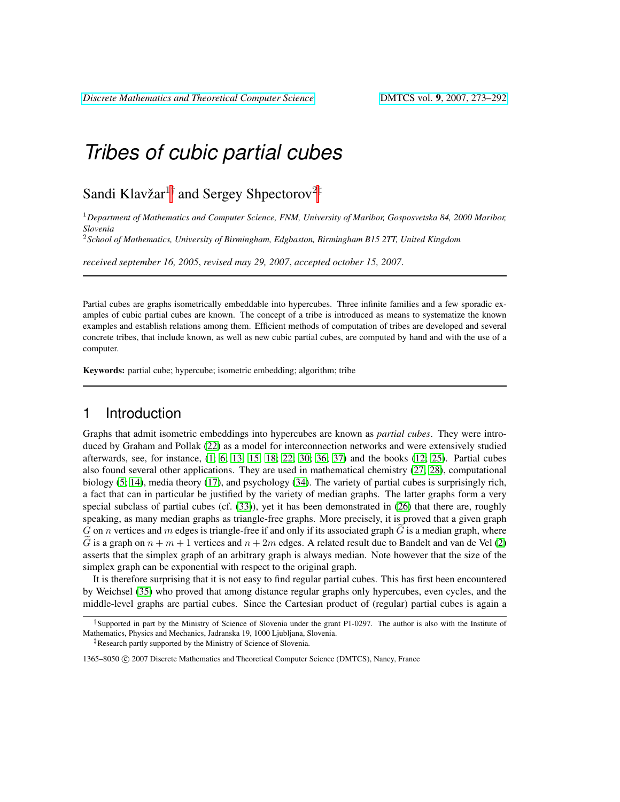# Sandi Klavžar<sup>1†</sup> and Sergey Shpectorov<sup>2‡</sup>

<sup>1</sup>*Department of Mathematics and Computer Science, FNM, University of Maribor, Gosposvetska 84, 2000 Maribor, Slovenia*

2 *School of Mathematics, University of Birmingham, Edgbaston, Birmingham B15 2TT, United Kingdom*

*received september 16, 2005*, *revised may 29, 2007*, *accepted october 15, 2007*.

Partial cubes are graphs isometrically embeddable into hypercubes. Three infinite families and a few sporadic examples of cubic partial cubes are known. The concept of a tribe is introduced as means to systematize the known examples and establish relations among them. Efficient methods of computation of tribes are developed and several concrete tribes, that include known, as well as new cubic partial cubes, are computed by hand and with the use of a computer.

Keywords: partial cube; hypercube; isometric embedding; algorithm; tribe

### 1 Introduction

Graphs that admit isometric embeddings into hypercubes are known as *partial cubes*. They were introduced by Graham and Pollak [\(22\)](#page-18-0) as a model for interconnection networks and were extensively studied afterwards, see, for instance, [\(1;](#page-17-0) [6;](#page-17-1) [13;](#page-17-2) [15;](#page-17-3) [18;](#page-18-1) [22;](#page-18-0) [30;](#page-18-2) [36;](#page-18-3) [37\)](#page-18-4) and the books [\(12;](#page-17-4) [25\)](#page-18-5). Partial cubes also found several other applications. They are used in mathematical chemistry [\(27;](#page-18-6) [28\)](#page-18-7), computational biology [\(5;](#page-17-5) [14\)](#page-17-6), media theory [\(17\)](#page-17-7), and psychology [\(34\)](#page-18-8). The variety of partial cubes is surprisingly rich, a fact that can in particular be justified by the variety of median graphs. The latter graphs form a very special subclass of partial cubes (cf. [\(33\)](#page-18-9)), yet it has been demonstrated in [\(26\)](#page-18-10) that there are, roughly speaking, as many median graphs as triangle-free graphs. More precisely, it is proved that a given graph G on n vertices and m edges is triangle-free if and only if its associated graph G is a median graph, where G is a graph on  $n + m + 1$  vertices and  $n + 2m$  edges. A related result due to Bandelt and van de Vel [\(2\)](#page-17-8) asserts that the simplex graph of an arbitrary graph is always median. Note however that the size of the simplex graph can be exponential with respect to the original graph.

It is therefore surprising that it is not easy to find regular partial cubes. This has first been encountered by Weichsel [\(35\)](#page-18-11) who proved that among distance regular graphs only hypercubes, even cycles, and the middle-level graphs are partial cubes. Since the Cartesian product of (regular) partial cubes is again a

<sup>&</sup>lt;sup>†</sup>Supported in part by the Ministry of Science of Slovenia under the grant P1-0297. The author is also with the Institute of Mathematics, Physics and Mechanics, Jadranska 19, 1000 Ljubljana, Slovenia.

<sup>‡</sup>Research partly supported by the Ministry of Science of Slovenia.

<sup>1365–8050 © 2007</sup> Discrete Mathematics and Theoretical Computer Science (DMTCS), Nancy, France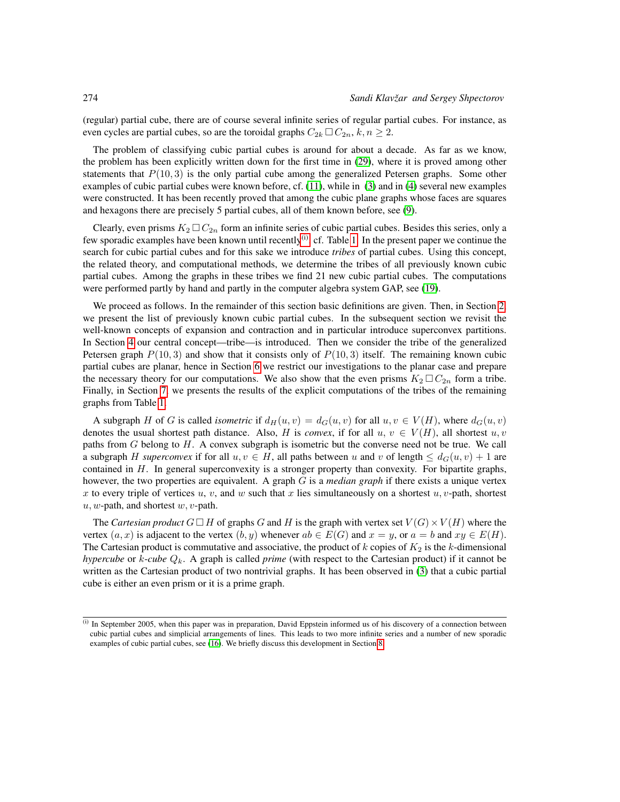(regular) partial cube, there are of course several infinite series of regular partial cubes. For instance, as even cycles are partial cubes, so are the toroidal graphs  $C_{2k} \square C_{2n}$ ,  $k, n \ge 2$ .

The problem of classifying cubic partial cubes is around for about a decade. As far as we know, the problem has been explicitly written down for the first time in [\(29\)](#page-18-12), where it is proved among other statements that  $P(10, 3)$  is the only partial cube among the generalized Petersen graphs. Some other examples of cubic partial cubes were known before, cf. [\(11\)](#page-17-9), while in [\(3\)](#page-17-10) and in [\(4\)](#page-17-11) several new examples were constructed. It has been recently proved that among the cubic plane graphs whose faces are squares and hexagons there are precisely 5 partial cubes, all of them known before, see [\(9\)](#page-17-12).

Clearly, even prisms  $K_2 \square C_{2n}$  form an infinite series of cubic partial cubes. Besides this series, only a few sporadic examples have been known until recently<sup>[\(i\)](#page-1-0)</sup>, cf. Table [1.](#page-2-0) In the present paper we continue the search for cubic partial cubes and for this sake we introduce *tribes* of partial cubes. Using this concept, the related theory, and computational methods, we determine the tribes of all previously known cubic partial cubes. Among the graphs in these tribes we find 21 new cubic partial cubes. The computations were performed partly by hand and partly in the computer algebra system GAP, see [\(19\)](#page-18-13).

We proceed as follows. In the remainder of this section basic definitions are given. Then, in Section [2,](#page-2-1) we present the list of previously known cubic partial cubes. In the subsequent section we revisit the well-known concepts of expansion and contraction and in particular introduce superconvex partitions. In Section [4](#page-5-0) our central concept—tribe—is introduced. Then we consider the tribe of the generalized Petersen graph  $P(10, 3)$  and show that it consists only of  $P(10, 3)$  itself. The remaining known cubic partial cubes are planar, hence in Section [6](#page-7-0) we restrict our investigations to the planar case and prepare the necessary theory for our computations. We also show that the even prisms  $K_2 \square C_{2n}$  form a tribe. Finally, in Section [7,](#page-13-0) we presents the results of the explicit computations of the tribes of the remaining graphs from Table [1.](#page-2-0)

A subgraph H of G is called *isometric* if  $d_H(u, v) = d_G(u, v)$  for all  $u, v \in V(H)$ , where  $d_G(u, v)$ denotes the usual shortest path distance. Also, H is *convex*, if for all  $u, v \in V(H)$ , all shortest  $u, v$ paths from G belong to H. A convex subgraph is isometric but the converse need not be true. We call a subgraph H *superconvex* if for all  $u, v \in H$ , all paths between u and v of length  $\leq d_G(u, v) + 1$  are contained in  $H$ . In general superconvexity is a stronger property than convexity. For bipartite graphs, however, the two properties are equivalent. A graph G is a *median graph* if there exists a unique vertex x to every triple of vertices u, v, and w such that x lies simultaneously on a shortest  $u, v$ -path, shortest  $u, w$ -path, and shortest  $w, v$ -path.

The *Cartesian product*  $G \square H$  of graphs G and H is the graph with vertex set  $V(G) \times V(H)$  where the vertex  $(a, x)$  is adjacent to the vertex  $(b, y)$  whenever  $ab \in E(G)$  and  $x = y$ , or  $a = b$  and  $xy \in E(H)$ . The Cartesian product is commutative and associative, the product of k copies of  $K_2$  is the k-dimensional *hypercube* or k-*cube*  $Q_k$ . A graph is called *prime* (with respect to the Cartesian product) if it cannot be written as the Cartesian product of two nontrivial graphs. It has been observed in [\(3\)](#page-17-10) that a cubic partial cube is either an even prism or it is a prime graph.

<span id="page-1-0"></span> $^{(i)}$  In September 2005, when this paper was in preparation, David Eppstein informed us of his discovery of a connection between cubic partial cubes and simplicial arrangements of lines. This leads to two more infinite series and a number of new sporadic examples of cubic partial cubes, see [\(16\)](#page-17-13). We briefly discuss this development in Section [8.](#page-16-0)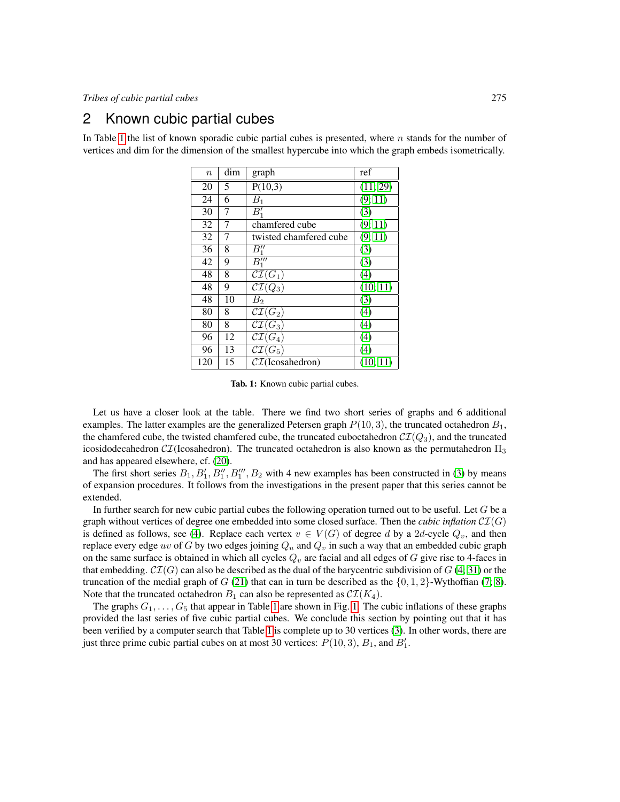## <span id="page-2-1"></span>2 Known cubic partial cubes

In Table [1](#page-2-0) the list of known sporadic cubic partial cubes is presented, where  $n$  stands for the number of vertices and dim for the dimension of the smallest hypercube into which the graph embeds isometrically.

| $\boldsymbol{n}$ | dim | graph                          | ref      |
|------------------|-----|--------------------------------|----------|
| 20               | 5   | P(10,3)                        | (11; 29) |
| 24               | 6   | $B_1$                          | (9; 11)  |
| 30               | 7   | $B_1'$                         | (3)      |
| 32               | 7   | chamfered cube                 | (9; 11)  |
| 32               | 7   | twisted chamfered cube         | (9; 11)  |
| 36               | 8   | $B_1''$                        | (3)      |
| 42               | 9   | $B_1'''$                       | (3)      |
| 48               | 8   | $\overline{\mathcal{CI}}(G_1)$ | (4)      |
| 48               | 9   | $\mathcal{CI}(Q_3)$            | (10; 11) |
| 48               | 10  | B <sub>2</sub>                 | (3)      |
| 80               | 8   | $\mathcal{CI}(G_2)$            | (4)      |
| 80               | 8   | $\overline{\mathcal{CI}(G_3)}$ | (4)      |
| 96               | 12  | $\mathcal{CI}(G_4)$            | (4)      |
| 96               | 13  | $\mathcal{CI}(G_5)$            | (4)      |
| 120              | 15  | $\mathcal{CI}$ (Icosahedron)   | (10; 11) |

<span id="page-2-0"></span>Tab. 1: Known cubic partial cubes.

Let us have a closer look at the table. There we find two short series of graphs and 6 additional examples. The latter examples are the generalized Petersen graph  $P(10, 3)$ , the truncated octahedron  $B_1$ , the chamfered cube, the twisted chamfered cube, the truncated cuboctahedron  $\mathcal{CI}(Q_3)$ , and the truncated icosidodecahedron  $\mathcal{CI}$ (Icosahedron). The truncated octahedron is also known as the permutahedron  $\Pi_3$ and has appeared elsewhere, cf. [\(20\)](#page-18-14).

The first short series  $B_1, B'_1, B''_1, B''_1, B_2$  with 4 new examples has been constructed in [\(3\)](#page-17-10) by means of expansion procedures. It follows from the investigations in the present paper that this series cannot be extended.

In further search for new cubic partial cubes the following operation turned out to be useful. Let  $G$  be a graph without vertices of degree one embedded into some closed surface. Then the *cubic inflation*  $\mathcal{CI}(G)$ is defined as follows, see [\(4\)](#page-17-11). Replace each vertex  $v \in V(G)$  of degree d by a 2d-cycle  $Q_v$ , and then replace every edge uv of G by two edges joining  $Q_u$  and  $Q_v$  in such a way that an embedded cubic graph on the same surface is obtained in which all cycles  $Q_v$  are facial and all edges of G give rise to 4-faces in that embedding.  $\mathcal{CI}(G)$  can also be described as the dual of the barycentric subdivision of  $G(4; 31)$  $G(4; 31)$  $G(4; 31)$  or the truncation of the medial graph of G [\(21\)](#page-18-16) that can in turn be described as the  $\{0, 1, 2\}$ -Wythoffian [\(7;](#page-17-15) [8\)](#page-17-16). Note that the truncated octahedron  $B_1$  can also be represented as  $\mathcal{CI}(K_4)$ .

The graphs  $G_1, \ldots, G_5$  that appear in Table [1](#page-2-0) are shown in Fig. [1.](#page-3-0) The cubic inflations of these graphs provided the last series of five cubic partial cubes. We conclude this section by pointing out that it has been verified by a computer search that Table [1](#page-2-0) is complete up to 30 vertices [\(3\)](#page-17-10). In other words, there are just three prime cubic partial cubes on at most 30 vertices:  $P(10,3)$ ,  $B_1$ , and  $B'_1$ .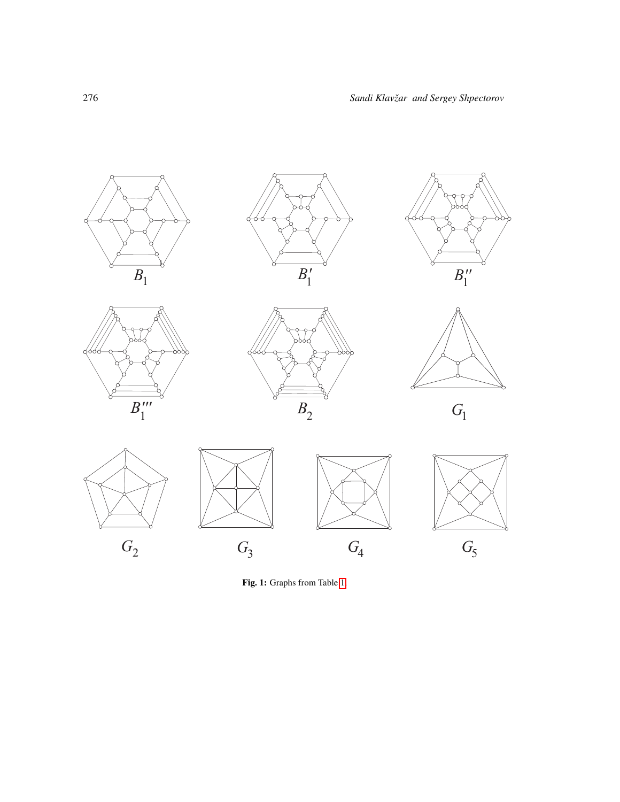

<span id="page-3-0"></span>Fig. 1: Graphs from Table [1.](#page-2-0)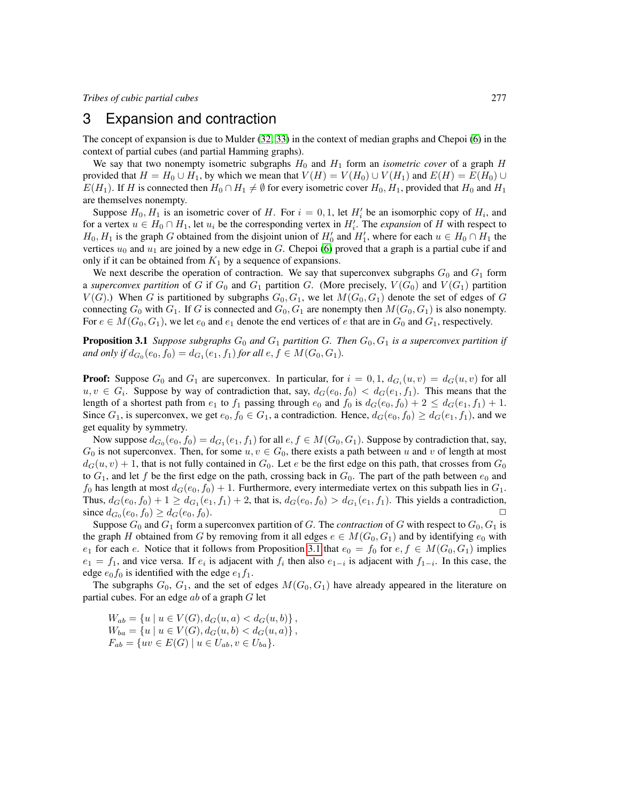#### 3 Expansion and contraction

The concept of expansion is due to Mulder [\(32;](#page-18-17) [33\)](#page-18-9) in the context of median graphs and Chepoi [\(6\)](#page-17-1) in the context of partial cubes (and partial Hamming graphs).

We say that two nonempty isometric subgraphs  $H_0$  and  $H_1$  form an *isometric cover* of a graph  $H$ provided that  $H = H_0 \cup H_1$ , by which we mean that  $V(H) = V(H_0) \cup V(H_1)$  and  $E(H) = E(H_0) \cup V(H_1)$  $E(H_1)$ . If H is connected then  $H_0 \cap H_1 \neq \emptyset$  for every isometric cover  $H_0, H_1$ , provided that  $H_0$  and  $H_1$ are themselves nonempty.

Suppose  $H_0, H_1$  is an isometric cover of H. For  $i = 0, 1$ , let  $H_i'$  be an isomorphic copy of  $H_i$ , and for a vertex  $u \in H_0 \cap H_1$ , let  $u_i$  be the corresponding vertex in  $H'_i$ . The *expansion* of H with respect to  $H_0$ ,  $H_1$  is the graph G obtained from the disjoint union of  $H'_0$  and  $H'_1$ , where for each  $u \in H_0 \cap H_1$  the vertices  $u_0$  and  $u_1$  are joined by a new edge in G. Chepoi [\(6\)](#page-17-1) proved that a graph is a partial cube if and only if it can be obtained from  $K_1$  by a sequence of expansions.

We next describe the operation of contraction. We say that superconvex subgraphs  $G_0$  and  $G_1$  form a *superconvex partition* of G if  $G_0$  and  $G_1$  partition G. (More precisely,  $V(G_0)$  and  $V(G_1)$  partition  $V(G)$ .) When G is partitioned by subgraphs  $G_0, G_1$ , we let  $M(G_0, G_1)$  denote the set of edges of G connecting  $G_0$  with  $G_1$ . If G is connected and  $G_0$ ,  $G_1$  are nonempty then  $M(G_0, G_1)$  is also nonempty. For  $e \in M(G_0, G_1)$ , we let  $e_0$  and  $e_1$  denote the end vertices of e that are in  $G_0$  and  $G_1$ , respectively.

<span id="page-4-0"></span>**Proposition 3.1** *Suppose subgraphs*  $G_0$  *and*  $G_1$  *partition*  $G$ *. Then*  $G_0$ *,*  $G_1$  *is a superconvex partition if and only if*  $d_{G_0}(e_0, f_0) = d_{G_1}(e_1, f_1)$  *for all*  $e, f \in M(G_0, G_1)$ *.* 

**Proof:** Suppose  $G_0$  and  $G_1$  are superconvex. In particular, for  $i = 0, 1$ ,  $d_{G_i}(u, v) = d_G(u, v)$  for all  $u, v \in G_i$ . Suppose by way of contradiction that, say,  $d_G(e_0, f_0) < d_G(e_1, f_1)$ . This means that the length of a shortest path from  $e_1$  to  $f_1$  passing through  $e_0$  and  $f_0$  is  $d_G(e_0, f_0) + 2 \leq d_G(e_1, f_1) + 1$ . Since  $G_1$ , is superconvex, we get  $e_0$ ,  $f_0 \in G_1$ , a contradiction. Hence,  $d_G(e_0, f_0) \geq d_G(e_1, f_1)$ , and we get equality by symmetry.

Now suppose  $d_{G_0}(e_0, f_0) = d_{G_1}(e_1, f_1)$  for all  $e, f \in M(G_0, G_1)$ . Suppose by contradiction that, say,  $G_0$  is not superconvex. Then, for some  $u, v \in G_0$ , there exists a path between u and v of length at most  $d_G(u, v) + 1$ , that is not fully contained in  $G_0$ . Let e be the first edge on this path, that crosses from  $G_0$ to  $G_1$ , and let f be the first edge on the path, crossing back in  $G_0$ . The part of the path between  $e_0$  and  $f_0$  has length at most  $d_G(e_0, f_0) + 1$ . Furthermore, every intermediate vertex on this subpath lies in  $G_1$ . Thus,  $d_G(e_0, f_0) + 1 \ge d_{G_1}(e_1, f_1) + 2$ , that is,  $d_G(e_0, f_0) > d_{G_1}(e_1, f_1)$ . This yields a contradiction, since  $d_{G_0}(e_0, f_0) \geq d_G(e_0, f_0)$ .

Suppose  $G_0$  and  $G_1$  form a superconvex partition of G. The *contraction* of G with respect to  $G_0$ ,  $G_1$  is the graph H obtained from G by removing from it all edges  $e \in M(G_0, G_1)$  and by identifying  $e_0$  with e<sub>1</sub> for each e. Notice that it follows from Proposition [3.1](#page-4-0) that  $e_0 = f_0$  for  $e, f \in M(G_0, G_1)$  implies  $e_1 = f_1$ , and vice versa. If  $e_i$  is adjacent with  $f_i$  then also  $e_{1-i}$  is adjacent with  $f_{1-i}$ . In this case, the edge  $e_0 f_0$  is identified with the edge  $e_1 f_1$ .

The subgraphs  $G_0$ ,  $G_1$ , and the set of edges  $M(G_0, G_1)$  have already appeared in the literature on partial cubes. For an edge  $ab$  of a graph  $G$  let

 $W_{ab} = \{u \mid u \in V(G), d_G(u, a) < d_G(u, b)\},\$  $W_{ba} = \{u \mid u \in V(G), d_G(u, b) < d_G(u, a)\},\$  $F_{ab} = \{uv \in E(G) \mid u \in U_{ab}, v \in U_{ba}\}.$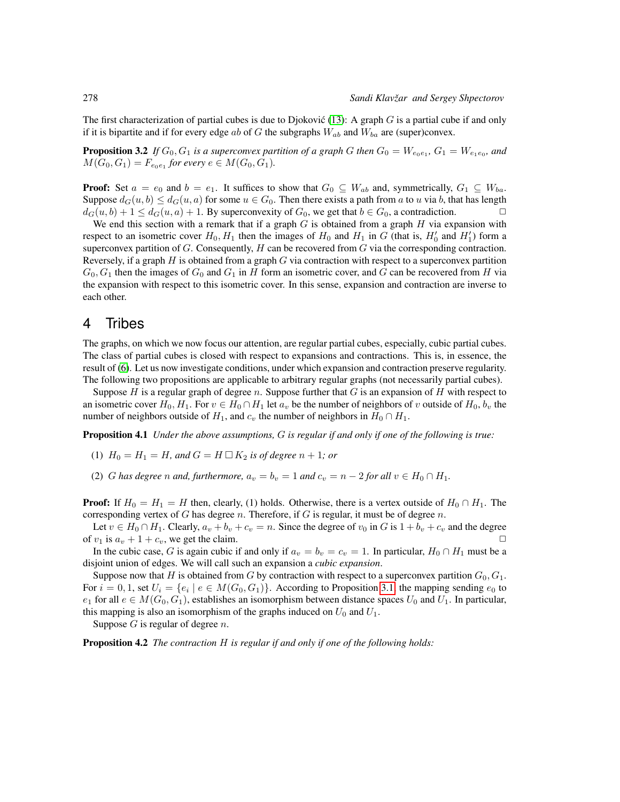The first characterization of partial cubes is due to Djoković [\(13\)](#page-17-2): A graph  $G$  is a partial cube if and only if it is bipartite and if for every edge ab of G the subgraphs  $W_{ab}$  and  $W_{ba}$  are (super)convex.

**Proposition 3.2** If  $G_0$ ,  $G_1$  is a superconvex partition of a graph G then  $G_0 = W_{e_0e_1}$ ,  $G_1 = W_{e_1e_0}$ , and  $M(G_0, G_1) = F_{e_0e_1}$  for every  $e \in M(G_0, G_1)$ .

**Proof:** Set  $a = e_0$  and  $b = e_1$ . It suffices to show that  $G_0 \subseteq W_{ab}$  and, symmetrically,  $G_1 \subseteq W_{ba}$ . Suppose  $d_G(u, b) \leq d_G(u, a)$  for some  $u \in G_0$ . Then there exists a path from a to u via b, that has length  $d_G(u, b) + 1 \leq d_G(u, a) + 1$ . By superconvexity of  $G_0$ , we get that  $b \in G_0$ , a contradiction.

We end this section with a remark that if a graph  $G$  is obtained from a graph  $H$  via expansion with respect to an isometric cover  $H_0$ ,  $H_1$  then the images of  $H_0$  and  $H_1$  in G (that is,  $H'_0$  and  $H'_1$ ) form a superconvex partition of  $G$ . Consequently,  $H$  can be recovered from  $G$  via the corresponding contraction. Reversely, if a graph  $H$  is obtained from a graph  $G$  via contraction with respect to a superconvex partition  $G_0, G_1$  then the images of  $G_0$  and  $G_1$  in H form an isometric cover, and G can be recovered from H via the expansion with respect to this isometric cover. In this sense, expansion and contraction are inverse to each other.

#### <span id="page-5-0"></span>4 Tribes

The graphs, on which we now focus our attention, are regular partial cubes, especially, cubic partial cubes. The class of partial cubes is closed with respect to expansions and contractions. This is, in essence, the result of [\(6\)](#page-17-1). Let us now investigate conditions, under which expansion and contraction preserve regularity. The following two propositions are applicable to arbitrary regular graphs (not necessarily partial cubes).

Suppose H is a regular graph of degree n. Suppose further that  $G$  is an expansion of H with respect to an isometric cover  $H_0, H_1$ . For  $v \in H_0 \cap H_1$  let  $a_v$  be the number of neighbors of v outside of  $H_0, b_v$  the number of neighbors outside of  $H_1$ , and  $c_v$  the number of neighbors in  $H_0 \cap H_1$ .

<span id="page-5-2"></span>Proposition 4.1 *Under the above assumptions,* G *is regular if and only if one of the following is true:*

- (1)  $H_0 = H_1 = H$ *, and*  $G = H \square K_2$  *is of degree*  $n + 1$ *; or*
- (2) G has degree n and, furthermore,  $a_v = b_v = 1$  and  $c_v = n 2$  for all  $v \in H_0 \cap H_1$ .

**Proof:** If  $H_0 = H_1 = H$  then, clearly, (1) holds. Otherwise, there is a vertex outside of  $H_0 \cap H_1$ . The corresponding vertex of G has degree n. Therefore, if G is regular, it must be of degree n.

Let  $v \in H_0 \cap H_1$ . Clearly,  $a_v + b_v + c_v = n$ . Since the degree of  $v_0$  in G is  $1 + b_v + c_v$  and the degree of  $v_1$  is  $a_v + 1 + c_v$ , we get the claim.

In the cubic case, G is again cubic if and only if  $a_v = b_v = c_v = 1$ . In particular,  $H_0 \cap H_1$  must be a disjoint union of edges. We will call such an expansion a *cubic expansion*.

Suppose now that H is obtained from G by contraction with respect to a superconvex partition  $G_0, G_1$ . For  $i = 0, 1$ , set  $U_i = \{e_i \mid e \in M(G_0, G_1)\}\$ . According to Proposition [3.1,](#page-4-0) the mapping sending  $e_0$  to  $e_1$  for all  $e \in M(G_0, G_1)$ , establishes an isomorphism between distance spaces  $U_0$  and  $U_1$ . In particular, this mapping is also an isomorphism of the graphs induced on  $U_0$  and  $U_1$ .

Suppose  $G$  is regular of degree  $n$ .

<span id="page-5-1"></span>Proposition 4.2 *The contraction* H *is regular if and only if one of the following holds:*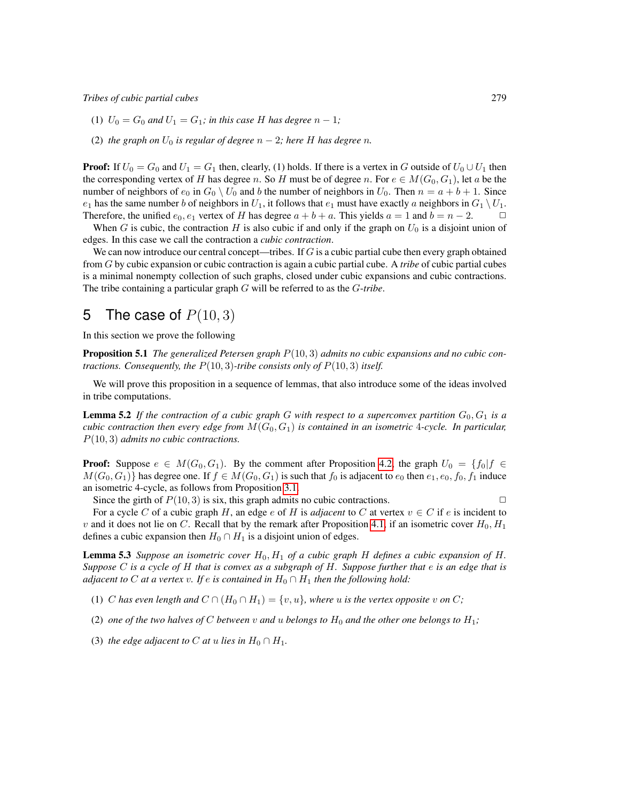- (1)  $U_0 = G_0$  and  $U_1 = G_1$ ; in this case H has degree  $n 1$ ;
- (2) *the graph on*  $U_0$  *is regular of degree*  $n 2$ *; here* H *has degree* n.

**Proof:** If  $U_0 = G_0$  and  $U_1 = G_1$  then, clearly, (1) holds. If there is a vertex in G outside of  $U_0 \cup U_1$  then the corresponding vertex of H has degree n. So H must be of degree n. For  $e \in M(G_0, G_1)$ , let a be the number of neighbors of  $e_0$  in  $G_0 \setminus U_0$  and b the number of neighbors in  $U_0$ . Then  $n = a + b + 1$ . Since  $e_1$  has the same number b of neighbors in  $U_1$ , it follows that  $e_1$  must have exactly a neighbors in  $G_1 \setminus U_1$ . Therefore, the unified  $e_0, e_1$  vertex of H has degree  $a + b + a$ . This yields  $a = 1$  and  $b = n - 2$ .  $\Box$ 

When G is cubic, the contraction H is also cubic if and only if the graph on  $U_0$  is a disjoint union of edges. In this case we call the contraction a *cubic contraction*.

We can now introduce our central concept—tribes. If  $G$  is a cubic partial cube then every graph obtained from G by cubic expansion or cubic contraction is again a cubic partial cube. A *tribe* of cubic partial cubes is a minimal nonempty collection of such graphs, closed under cubic expansions and cubic contractions. The tribe containing a particular graph G will be referred to as the G-*tribe*.

#### 5 The case of  $P(10,3)$

In this section we prove the following

<span id="page-6-2"></span>Proposition 5.1 *The generalized Petersen graph* P(10, 3) *admits no cubic expansions and no cubic contractions. Consequently, the* P(10, 3)*-tribe consists only of* P(10, 3) *itself.*

We will prove this proposition in a sequence of lemmas, that also introduce some of the ideas involved in tribe computations.

<span id="page-6-1"></span>**Lemma 5.2** If the contraction of a cubic graph G with respect to a superconvex partition  $G_0, G_1$  is a *cubic contraction then every edge from*  $M(G_0, G_1)$  *is contained in an isometric* 4*-cycle. In particular,* P(10, 3) *admits no cubic contractions.*

**Proof:** Suppose  $e \in M(G_0, G_1)$ . By the comment after Proposition [4.2,](#page-5-1) the graph  $U_0 = \{f_0 | f \in$  $M(G_0, G_1)$  has degree one. If  $f \in M(G_0, G_1)$  is such that  $f_0$  is adjacent to  $e_0$  then  $e_1, e_0, f_0, f_1$  induce an isometric 4-cycle, as follows from Proposition [3.1.](#page-4-0)

Since the girth of  $P(10, 3)$  is six, this graph admits no cubic contractions.

For a cycle C of a cubic graph H, an edge e of H is *adjacent* to C at vertex  $v \in C$  if e is incident to v and it does not lie on C. Recall that by the remark after Proposition [4.1,](#page-5-2) if an isometric cover  $H_0$ ,  $H_1$ defines a cubic expansion then  $H_0 \cap H_1$  is a disjoint union of edges.

<span id="page-6-0"></span>Lemma 5.3 *Suppose an isometric cover* H0, H<sup>1</sup> *of a cubic graph* H *defines a cubic expansion of* H*. Suppose* C *is a cycle of* H *that is convex as a subgraph of* H*. Suppose further that* e *is an edge that is adjacent to* C *at a vertex v. If e is contained in*  $H_0 \cap H_1$  *then the following hold:* 

- (1) C has even length and  $C \cap (H_0 \cap H_1) = \{v, u\}$ , where u is the vertex opposite v on C;
- (2) one of the two halves of C between v and u belongs to  $H_0$  and the other one belongs to  $H_1$ ;
- (3) *the edge adjacent to* C *at u lies in*  $H_0 \cap H_1$ *.*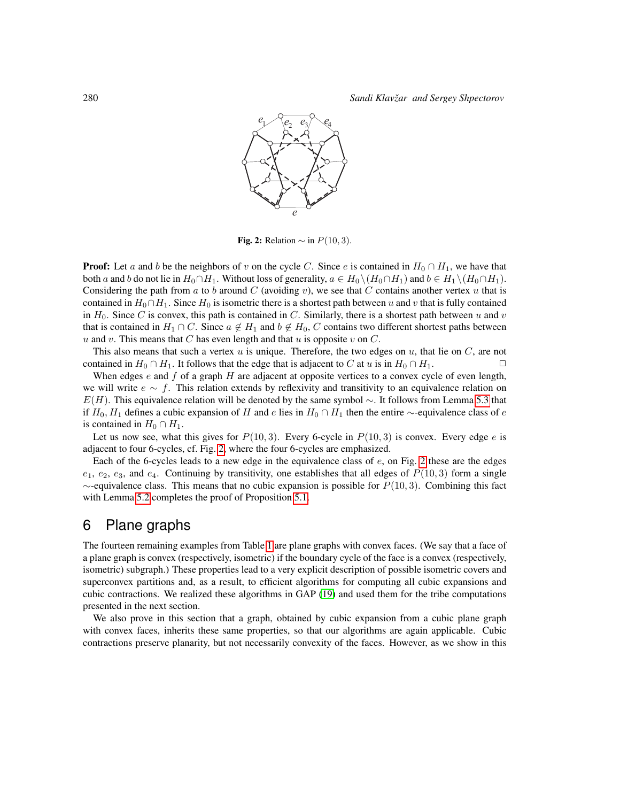

<span id="page-7-1"></span>**Fig. 2:** Relation  $\sim$  in  $P(10, 3)$ .

**Proof:** Let a and b be the neighbors of v on the cycle C. Since e is contained in  $H_0 \cap H_1$ , we have that both a and b do not lie in  $H_0 \cap H_1$ . Without loss of generality,  $a \in H_0 \setminus (H_0 \cap H_1)$  and  $b \in H_1 \setminus (H_0 \cap H_1)$ . Considering the path from a to b around C (avoiding v), we see that C contains another vertex u that is contained in  $H_0 \cap H_1$ . Since  $H_0$  is isometric there is a shortest path between u and v that is fully contained in  $H_0$ . Since C is convex, this path is contained in C. Similarly, there is a shortest path between u and v that is contained in  $H_1 \cap C$ . Since  $a \notin H_1$  and  $b \notin H_0$ , C contains two different shortest paths between u and v. This means that C has even length and that  $u$  is opposite  $v$  on  $C$ .

This also means that such a vertex  $u$  is unique. Therefore, the two edges on  $u$ , that lie on  $C$ , are not contained in  $H_0 \cap H_1$ . It follows that the edge that is adjacent to C at u is in  $H_0 \cap H_1$ .

When edges  $e$  and  $f$  of a graph  $H$  are adjacent at opposite vertices to a convex cycle of even length, we will write  $e \sim f$ . This relation extends by reflexivity and transitivity to an equivalence relation on  $E(H)$ . This equivalence relation will be denoted by the same symbol  $\sim$ . It follows from Lemma [5.3](#page-6-0) that if  $H_0, H_1$  defines a cubic expansion of H and e lies in  $H_0 \cap H_1$  then the entire ∼-equivalence class of e is contained in  $H_0 \cap H_1$ .

Let us now see, what this gives for  $P(10, 3)$ . Every 6-cycle in  $P(10, 3)$  is convex. Every edge e is adjacent to four 6-cycles, cf. Fig. [2,](#page-7-1) where the four 6-cycles are emphasized.

Each of the 6-cycles leads to a new edge in the equivalence class of  $e$ , on Fig. [2](#page-7-1) these are the edges  $e_1, e_2, e_3$ , and  $e_4$ . Continuing by transitivity, one establishes that all edges of  $P(10, 3)$  form a single  $\sim$ -equivalence class. This means that no cubic expansion is possible for  $P(10, 3)$ . Combining this fact with Lemma [5.2](#page-6-1) completes the proof of Proposition [5.1.](#page-6-2)

### <span id="page-7-0"></span>6 Plane graphs

The fourteen remaining examples from Table [1](#page-2-0) are plane graphs with convex faces. (We say that a face of a plane graph is convex (respectively, isometric) if the boundary cycle of the face is a convex (respectively, isometric) subgraph.) These properties lead to a very explicit description of possible isometric covers and superconvex partitions and, as a result, to efficient algorithms for computing all cubic expansions and cubic contractions. We realized these algorithms in GAP [\(19\)](#page-18-13) and used them for the tribe computations presented in the next section.

We also prove in this section that a graph, obtained by cubic expansion from a cubic plane graph with convex faces, inherits these same properties, so that our algorithms are again applicable. Cubic contractions preserve planarity, but not necessarily convexity of the faces. However, as we show in this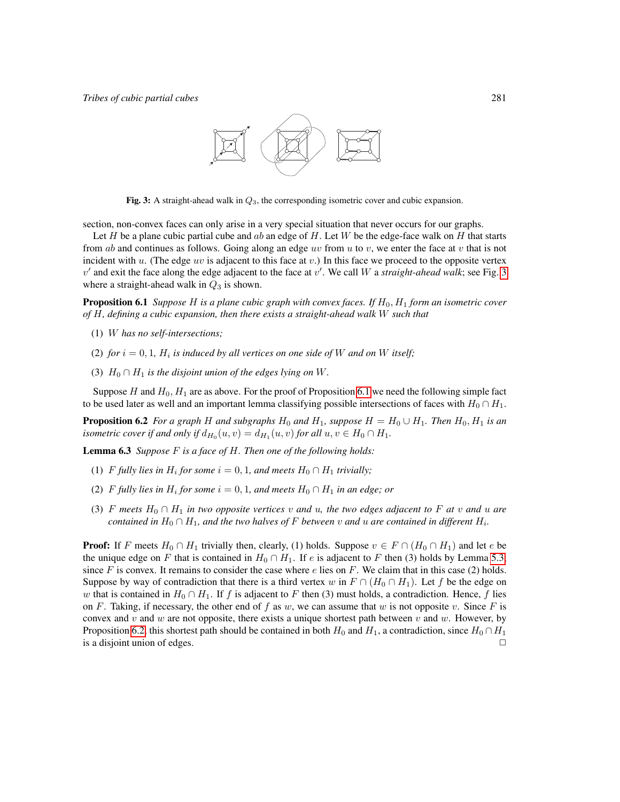

<span id="page-8-0"></span>Fig. 3: A straight-ahead walk in  $Q_3$ , the corresponding isometric cover and cubic expansion.

section, non-convex faces can only arise in a very special situation that never occurs for our graphs.

Let H be a plane cubic partial cube and ab an edge of H. Let W be the edge-face walk on H that starts from ab and continues as follows. Going along an edge uv from u to v, we enter the face at v that is not incident with u. (The edge uv is adjacent to this face at v.) In this face we proceed to the opposite vertex  $v'$  and exit the face along the edge adjacent to the face at  $v'$ . We call W a *straight-ahead walk*; see Fig. [3](#page-8-0) where a straight-ahead walk in  $Q_3$  is shown.

<span id="page-8-1"></span>**Proposition 6.1** *Suppose* H is a plane cubic graph with convex faces. If  $H_0$ ,  $H_1$  form an isometric cover *of* H*, defining a cubic expansion, then there exists a straight-ahead walk* W *such that*

- (1) W *has no self-intersections;*
- (2) for  $i = 0, 1, H_i$  is induced by all vertices on one side of W and on W itself;
- (3)  $H_0 \cap H_1$  *is the disjoint union of the edges lying on* W.

Suppose H and  $H_0$ ,  $H_1$  are as above. For the proof of Proposition [6.1](#page-8-1) we need the following simple fact to be used later as well and an important lemma classifying possible intersections of faces with  $H_0 \cap H_1$ .

<span id="page-8-2"></span>**Proposition 6.2** *For a graph* H *and subgraphs*  $H_0$  *and*  $H_1$ *, suppose*  $H = H_0 \cup H_1$ *. Then*  $H_0$ *,*  $H_1$  *is an isometric cover if and only if*  $d_{H_0}(u, v) = d_{H_1}(u, v)$  *for all*  $u, v \in H_0 \cap H_1$ *.* 

<span id="page-8-3"></span>Lemma 6.3 *Suppose* F *is a face of* H*. Then one of the following holds:*

- (1) *F* fully lies in  $H_i$  for some  $i = 0, 1$ , and meets  $H_0 \cap H_1$  trivially;
- (2) *F* fully lies in  $H_i$  for some  $i = 0, 1$ , and meets  $H_0 \cap H_1$  in an edge; or
- (3) F meets  $H_0 \cap H_1$  *in two opposite vertices* v and u, the two edges adjacent to F at v and u are *contained in*  $H_0 \cap H_1$ , and the two halves of F between v and u are contained in different  $H_i$ .

**Proof:** If F meets  $H_0 \cap H_1$  trivially then, clearly, (1) holds. Suppose  $v \in F \cap (H_0 \cap H_1)$  and let e be the unique edge on F that is contained in  $H_0 \cap H_1$ . If e is adjacent to F then (3) holds by Lemma [5.3,](#page-6-0) since F is convex. It remains to consider the case where  $e$  lies on F. We claim that in this case (2) holds. Suppose by way of contradiction that there is a third vertex w in  $F \cap (H_0 \cap H_1)$ . Let f be the edge on w that is contained in  $H_0 \cap H_1$ . If f is adjacent to F then (3) must holds, a contradiction. Hence, f lies on F. Taking, if necessary, the other end of f as w, we can assume that w is not opposite v. Since F is convex and v and w are not opposite, there exists a unique shortest path between v and w. However, by Proposition [6.2,](#page-8-2) this shortest path should be contained in both  $H_0$  and  $H_1$ , a contradiction, since  $H_0 \cap H_1$ is a disjoint union of edges.  $\Box$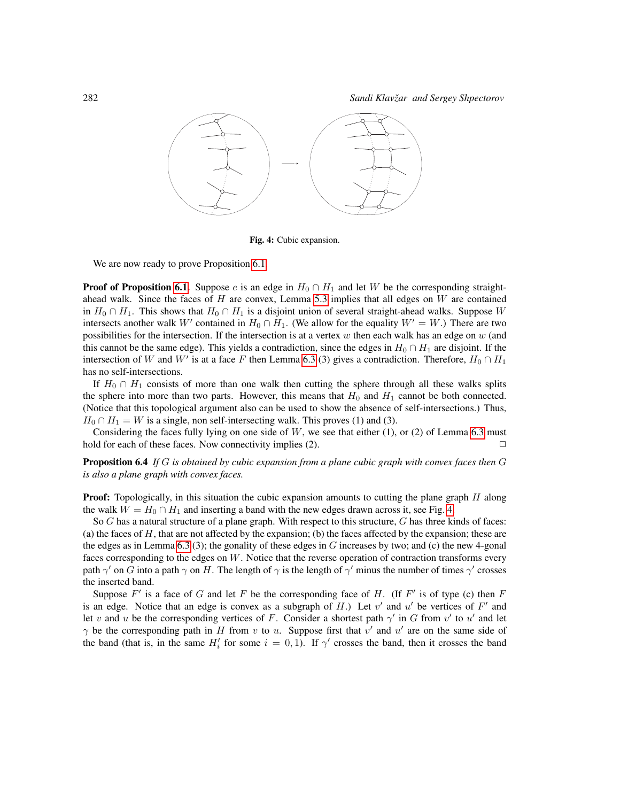

<span id="page-9-0"></span>Fig. 4: Cubic expansion.

We are now ready to prove Proposition [6.1.](#page-8-1)

**Proof of Proposition [6.1.](#page-8-1)** Suppose e is an edge in  $H_0 \cap H_1$  and let W be the corresponding straightahead walk. Since the faces of  $H$  are convex, Lemma [5.3](#page-6-0) implies that all edges on  $W$  are contained in  $H_0 \cap H_1$ . This shows that  $H_0 \cap H_1$  is a disjoint union of several straight-ahead walks. Suppose W intersects another walk W' contained in  $H_0 \cap H_1$ . (We allow for the equality  $W' = W$ .) There are two possibilities for the intersection. If the intersection is at a vertex  $w$  then each walk has an edge on  $w$  (and this cannot be the same edge). This yields a contradiction, since the edges in  $H_0 \cap H_1$  are disjoint. If the intersection of W and W' is at a face F then Lemma [6.3](#page-8-3) (3) gives a contradiction. Therefore,  $H_0 \cap H_1$ has no self-intersections.

If  $H_0 \cap H_1$  consists of more than one walk then cutting the sphere through all these walks splits the sphere into more than two parts. However, this means that  $H_0$  and  $H_1$  cannot be both connected. (Notice that this topological argument also can be used to show the absence of self-intersections.) Thus,  $H_0 \cap H_1 = W$  is a single, non self-intersecting walk. This proves (1) and (3).

Considering the faces fully lying on one side of  $W$ , we see that either (1), or (2) of Lemma [6.3](#page-8-3) must hold for each of these faces. Now connectivity implies  $(2)$ .  $\Box$ 

<span id="page-9-1"></span>Proposition 6.4 *If* G *is obtained by cubic expansion from a plane cubic graph with convex faces then* G *is also a plane graph with convex faces.*

**Proof:** Topologically, in this situation the cubic expansion amounts to cutting the plane graph  $H$  along the walk  $W = H_0 \cap H_1$  and inserting a band with the new edges drawn across it, see Fig. [4.](#page-9-0)

So  $G$  has a natural structure of a plane graph. With respect to this structure,  $G$  has three kinds of faces: (a) the faces of  $H$ , that are not affected by the expansion; (b) the faces affected by the expansion; these are the edges as in Lemma [6.3](#page-8-3) (3); the gonality of these edges in  $G$  increases by two; and (c) the new 4-gonal faces corresponding to the edges on W. Notice that the reverse operation of contraction transforms every path  $\gamma'$  on G into a path  $\gamma$  on H. The length of  $\gamma$  is the length of  $\gamma'$  minus the number of times  $\gamma'$  crosses the inserted band.

Suppose  $F'$  is a face of G and let F be the corresponding face of H. (If  $F'$  is of type (c) then F is an edge. Notice that an edge is convex as a subgraph of  $H$ .) Let  $v'$  and  $u'$  be vertices of  $F'$  and let v and u be the corresponding vertices of F. Consider a shortest path  $\gamma'$  in G from v' to u' and let  $\gamma$  be the corresponding path in H from v to u. Suppose first that v' and u' are on the same side of the band (that is, in the same  $H'_i$  for some  $i = 0, 1$ ). If  $\gamma'$  crosses the band, then it crosses the band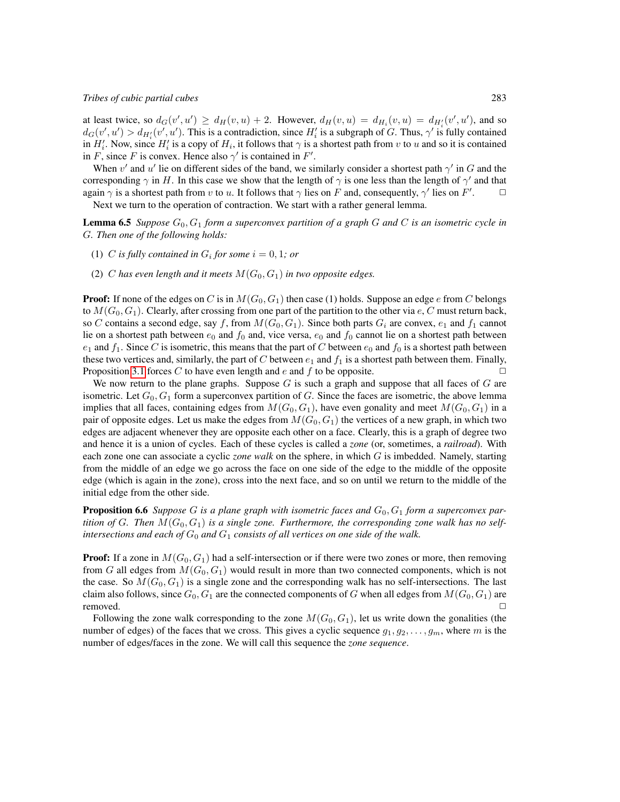at least twice, so  $d_G(v', u') \ge d_H(v, u) + 2$ . However,  $d_H(v, u) = d_{H_i}(v, u) = d_{H_i}(v', u')$ , and so  $d_G(v', u') > d_{H'_i}(v', u')$ . This is a contradiction, since  $H'_i$  is a subgraph of G. Thus,  $\gamma'$  is fully contained in  $H'_i$ . Now, since  $H'_i$  is a copy of  $H_i$ , it follows that  $\gamma$  is a shortest path from v to u and so it is contained in F, since F is convex. Hence also  $\gamma'$  is contained in F'.

When v' and u' lie on different sides of the band, we similarly consider a shortest path  $\gamma'$  in G and the corresponding  $\gamma$  in H. In this case we show that the length of  $\gamma$  is one less than the length of  $\gamma'$  and that again  $\gamma$  is a shortest path from v to u. It follows that  $\gamma$  lies on F and, consequently,  $\gamma'$  lies on F'  $\Box$ Next we turn to the operation of contraction. We start with a rather general lemma.

**Lemma 6.5** *Suppose*  $G_0$ ,  $G_1$  *form a superconvex partition of a graph*  $G$  *and*  $C$  *is an isometric cycle in* G*. Then one of the following holds:*

- (1) *C* is fully contained in  $G_i$  for some  $i = 0, 1$ ; or
- (2) C has even length and it meets  $M(G_0, G_1)$  in two opposite edges.

**Proof:** If none of the edges on C is in  $M(G_0, G_1)$  then case (1) holds. Suppose an edge e from C belongs to  $M(G_0, G_1)$ . Clearly, after crossing from one part of the partition to the other via e, C must return back, so C contains a second edge, say f, from  $M(G_0, G_1)$ . Since both parts  $G_i$  are convex,  $e_1$  and  $f_1$  cannot lie on a shortest path between  $e_0$  and  $f_0$  and, vice versa,  $e_0$  and  $f_0$  cannot lie on a shortest path between  $e_1$  and  $f_1$ . Since C is isometric, this means that the part of C between  $e_0$  and  $f_0$  is a shortest path between these two vertices and, similarly, the part of C between  $e_1$  and  $f_1$  is a shortest path between them. Finally, Proposition [3.1](#page-4-0) forces C to have even length and e and f to be opposite.  $\Box$ 

We now return to the plane graphs. Suppose  $G$  is such a graph and suppose that all faces of  $G$  are isometric. Let  $G_0$ ,  $G_1$  form a superconvex partition of  $G$ . Since the faces are isometric, the above lemma implies that all faces, containing edges from  $M(G_0, G_1)$ , have even gonality and meet  $M(G_0, G_1)$  in a pair of opposite edges. Let us make the edges from  $M(G_0, G_1)$  the vertices of a new graph, in which two edges are adjacent whenever they are opposite each other on a face. Clearly, this is a graph of degree two and hence it is a union of cycles. Each of these cycles is called a *zone* (or, sometimes, a *railroad*). With each zone one can associate a cyclic *zone walk* on the sphere, in which G is imbedded. Namely, starting from the middle of an edge we go across the face on one side of the edge to the middle of the opposite edge (which is again in the zone), cross into the next face, and so on until we return to the middle of the initial edge from the other side.

<span id="page-10-0"></span>**Proposition 6.6** Suppose G is a plane graph with isometric faces and  $G_0$ ,  $G_1$  form a superconvex par*tition of* G. Then  $M(G_0, G_1)$  is a single zone. Furthermore, the corresponding zone walk has no self*intersections and each of*  $G_0$  *and*  $G_1$  *consists of all vertices on one side of the walk.* 

**Proof:** If a zone in  $M(G_0, G_1)$  had a self-intersection or if there were two zones or more, then removing from G all edges from  $M(G_0, G_1)$  would result in more than two connected components, which is not the case. So  $M(G_0, G_1)$  is a single zone and the corresponding walk has no self-intersections. The last claim also follows, since  $G_0, G_1$  are the connected components of G when all edges from  $M(G_0, G_1)$  are removed.  $\Box$ 

Following the zone walk corresponding to the zone  $M(G_0, G_1)$ , let us write down the gonalities (the number of edges) of the faces that we cross. This gives a cyclic sequence  $g_1, g_2, \ldots, g_m$ , where m is the number of edges/faces in the zone. We will call this sequence the *zone sequence*.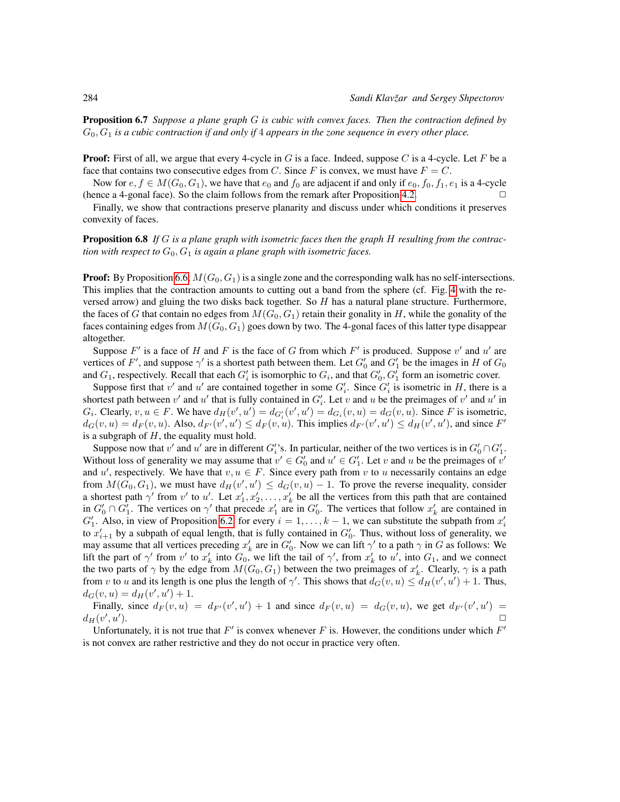Proposition 6.7 *Suppose a plane graph* G *is cubic with convex faces. Then the contraction defined by*  $G_0, G_1$  *is a cubic contraction if and only if 4 appears in the zone sequence in every other place.* 

**Proof:** First of all, we argue that every 4-cycle in  $G$  is a face. Indeed, suppose  $C$  is a 4-cycle. Let  $F$  be a face that contains two consecutive edges from C. Since F is convex, we must have  $F = C$ .

Now for  $e, f \in M(G_0, G_1)$ , we have that  $e_0$  and  $f_0$  are adjacent if and only if  $e_0, f_0, f_1, e_1$  is a 4-cycle (hence a 4-gonal face). So the claim follows from the remark after Proposition [4.2.](#page-5-1)  $\Box$ 

Finally, we show that contractions preserve planarity and discuss under which conditions it preserves convexity of faces.

<span id="page-11-0"></span>Proposition 6.8 *If* G *is a plane graph with isometric faces then the graph* H *resulting from the contraction with respect to*  $G_0$ ,  $G_1$  *is again a plane graph with isometric faces.* 

**Proof:** By Proposition [6.6,](#page-10-0)  $M(G_0, G_1)$  is a single zone and the corresponding walk has no self-intersections. This implies that the contraction amounts to cutting out a band from the sphere (cf. Fig. [4](#page-9-0) with the reversed arrow) and gluing the two disks back together. So H has a natural plane structure. Furthermore, the faces of G that contain no edges from  $M(G_0, G_1)$  retain their gonality in H, while the gonality of the faces containing edges from  $M(G_0, G_1)$  goes down by two. The 4-gonal faces of this latter type disappear altogether.

Suppose  $F'$  is a face of H and F is the face of G from which  $F'$  is produced. Suppose  $v'$  and  $u'$  are vertices of F', and suppose  $\gamma'$  is a shortest path between them. Let  $G'_0$  and  $G'_1$  be the images in H of  $G_0$ and  $G_1$ , respectively. Recall that each  $G'_i$  is isomorphic to  $G_i$ , and that  $G'_0$ ,  $G'_1$  form an isometric cover.

Suppose first that  $v'$  and  $u'$  are contained together in some  $G'_i$ . Since  $G'_i$  is isometric in H, there is a shortest path between  $v'$  and  $u'$  that is fully contained in  $G'_i$ . Let v and u be the preimages of  $v'$  and  $u'$  in  $G_i$ . Clearly,  $v, u \in F$ . We have  $d_H(v', u') = d_{G_i'}(v', u') = d_{G_i}(v, u) = d_G(v, u)$ . Since F is isometric,  $d_G(v, u) = d_F(v, u)$ . Also,  $d_{F'}(v', u') \leq d_F(v, u)$ . This implies  $d_{F'}(v', u') \leq d_H(v', u')$ , and since  $F'$ is a subgraph of  $H$ , the equality must hold.

Suppose now that  $v'$  and  $u'$  are in different  $G_i'$ 's. In particular, neither of the two vertices is in  $G_0' \cap G_1'$ . Without loss of generality we may assume that  $v' \in G'_0$  and  $u' \in G'_1$ . Let v and u be the preimages of  $v'$ and u', respectively. We have that  $v, u \in F$ . Since every path from v to u necessarily contains an edge from  $M(G_0, G_1)$ , we must have  $d_H(v', u') \leq d_G(v, u) - 1$ . To prove the reverse inequality, consider a shortest path  $\gamma'$  from v' to u'. Let  $x'_1, x'_2, \ldots, x'_k$  be all the vertices from this path that are contained in  $G'_0 \cap G'_1$ . The vertices on  $\gamma'$  that precede  $x'_1$  are in  $G'_0$ . The vertices that follow  $x'_k$  are contained in  $G_1'$ . Also, in view of Proposition [6.2,](#page-8-2) for every  $i = 1, ..., k - 1$ , we can substitute the subpath from  $x_i'$ to  $x'_{i+1}$  by a subpath of equal length, that is fully contained in  $G'_0$ . Thus, without loss of generality, we may assume that all vertices preceding  $x'_k$  are in  $G'_0$ . Now we can lift  $\gamma'$  to a path  $\gamma$  in  $G$  as follows: We lift the part of  $\gamma'$  from  $v'$  to  $x'_k$  into  $G_0$ , we lift the tail of  $\gamma'$ , from  $x'_k$  to  $u'$ , into  $G_1$ , and we connect the two parts of  $\gamma$  by the edge from  $M(G_0, G_1)$  between the two preimages of  $x'_k$ . Clearly,  $\gamma$  is a path from v to u and its length is one plus the length of  $\gamma'$ . This shows that  $d_G(v, u) \le d_H(v', u') + 1$ . Thus,  $d_G(v, u) = d_H(v', u') + 1.$ 

Finally, since  $d_F(v, u) = d_{F'}(v', u') + 1$  and since  $d_F(v, u) = d_G(v, u)$ , we get  $d_{F'}(v', u') =$  $d_H(v', u')$ ). The contract of the contract of the contract of the contract of  $\Box$ 

Unfortunately, it is not true that  $F'$  is convex whenever F is. However, the conditions under which  $F'$ is not convex are rather restrictive and they do not occur in practice very often.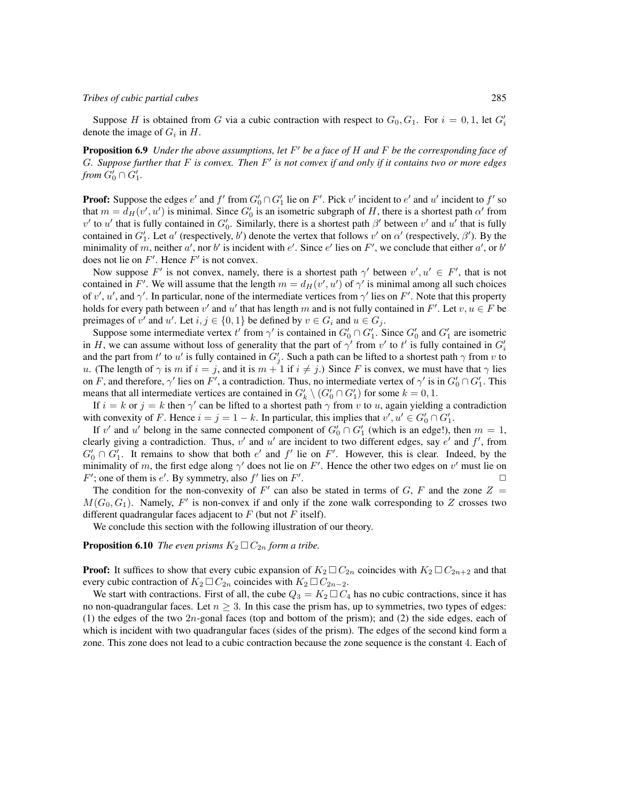Suppose H is obtained from G via a cubic contraction with respect to  $G_0, G_1$ . For  $i = 0, 1$ , let  $G_i'$ denote the image of  $G_i$  in  $H$ .

<span id="page-12-0"></span>Proposition 6.9 Under the above assumptions, let F' be a face of H and F be the corresponding face of G*. Suppose further that* F *is convex. Then* F 0 *is not convex if and only if it contains two or more edges from*  $G'_0 \cap G'_1$ .

**Proof:** Suppose the edges  $e'$  and  $f'$  from  $G'_0 \cap G'_1$  lie on  $F'$ . Pick  $v'$  incident to  $e'$  and  $u'$  incident to  $f'$  so that  $m = d_H(v', u')$  is minimal. Since  $G'_0$  is an isometric subgraph of H, there is a shortest path  $\alpha'$  from  $v'$  to u' that is fully contained in  $G'_0$ . Similarly, there is a shortest path  $\beta'$  between  $v'$  and u' that is fully contained in  $G'_1$ . Let  $a'$  (respectively,  $b'$ ) denote the vertex that follows  $v'$  on  $\alpha'$  (respectively,  $\beta'$ ). By the minimality of m, neither a', nor b' is incident with e'. Since e' lies on F', we conclude that either a', or b' does not lie on  $F'$ . Hence  $F'$  is not convex.

Now suppose  $F'$  is not convex, namely, there is a shortest path  $\gamma'$  between  $v', u' \in F'$ , that is not contained in F'. We will assume that the length  $m = d_H(v', u')$  of  $\gamma'$  is minimal among all such choices of v', u', and  $\gamma'$ . In particular, none of the intermediate vertices from  $\gamma'$  lies on F'. Note that this property holds for every path between  $v'$  and  $u'$  that has length m and is not fully contained in  $F'$ . Let  $v, u \in F$  be preimages of v' and u'. Let  $i, j \in \{0, 1\}$  be defined by  $v \in G_i$  and  $u \in G_j$ .

Suppose some intermediate vertex  $t'$  from  $\gamma'$  is contained in  $G'_0 \cap G'_1$ . Since  $G'_0$  and  $G'_1$  are isometric in H, we can assume without loss of generality that the part of  $\gamma'$  from  $v'$  to  $t'$  is fully contained in  $G_i'$ and the part from t' to u' is fully contained in  $G'_j$ . Such a path can be lifted to a shortest path  $\gamma$  from v to u. (The length of  $\gamma$  is m if  $i = j$ , and it is  $m + 1$  if  $i \neq j$ .) Since F is convex, we must have that  $\gamma$  lies on F, and therefore,  $\gamma'$  lies on F', a contradiction. Thus, no intermediate vertex of  $\gamma'$  is in  $G'_0 \cap G'_1$ . This means that all intermediate vertices are contained in  $G'_k \setminus (G'_0 \cap G'_1)$  for some  $k = 0, 1$ .

If  $i = k$  or  $j = k$  then  $\gamma'$  can be lifted to a shortest path  $\gamma$  from v to u, again yielding a contradiction with convexity of F. Hence  $i = j = 1 - k$ . In particular, this implies that  $v', u' \in G'_0 \cap G'_1$ .

If v' and u' belong in the same connected component of  $G'_0 \cap G'_1$  (which is an edge!), then  $m = 1$ , clearly giving a contradiction. Thus,  $v'$  and  $u'$  are incident to two different edges, say  $e'$  and  $f'$ , from  $G_0' \cap G_1'$ . It remains to show that both e' and f' lie on F'. However, this is clear. Indeed, by the minimality of m, the first edge along  $\gamma'$  does not lie on F'. Hence the other two edges on  $v'$  must lie on  $F'$ ; one of them is  $e'$ . By symmetry, also  $f'$  lies on  $F'$ . The contract of the contract of  $\Box$ 

The condition for the non-convexity of F' can also be stated in terms of G, F and the zone  $Z =$  $M(G_0, G_1)$ . Namely, F' is non-convex if and only if the zone walk corresponding to Z crosses two different quadrangular faces adjacent to  $F$  (but not  $F$  itself).

We conclude this section with the following illustration of our theory.

#### **Proposition 6.10** *The even prisms*  $K_2 \square C_{2n}$  *form a tribe.*

**Proof:** It suffices to show that every cubic expansion of  $K_2 \square C_{2n}$  coincides with  $K_2 \square C_{2n+2}$  and that every cubic contraction of  $K_2 \square C_{2n}$  coincides with  $K_2 \square C_{2n-2}$ .

We start with contractions. First of all, the cube  $Q_3 = K_2 \square C_4$  has no cubic contractions, since it has no non-quadrangular faces. Let  $n \geq 3$ . In this case the prism has, up to symmetries, two types of edges: (1) the edges of the two 2n-gonal faces (top and bottom of the prism); and (2) the side edges, each of which is incident with two quadrangular faces (sides of the prism). The edges of the second kind form a zone. This zone does not lead to a cubic contraction because the zone sequence is the constant 4. Each of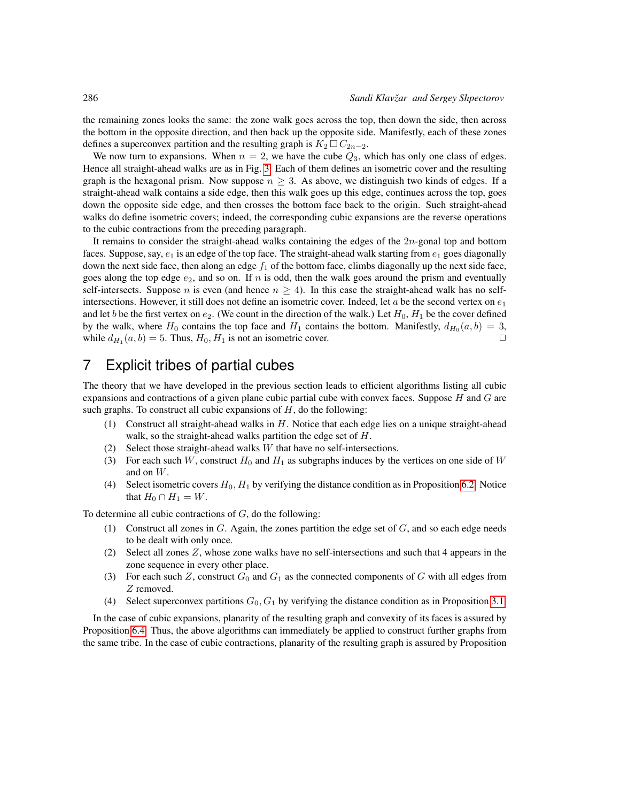the remaining zones looks the same: the zone walk goes across the top, then down the side, then across the bottom in the opposite direction, and then back up the opposite side. Manifestly, each of these zones defines a superconvex partition and the resulting graph is  $K_2 \square C_{2n-2}$ .

We now turn to expansions. When  $n = 2$ , we have the cube  $Q_3$ , which has only one class of edges. Hence all straight-ahead walks are as in Fig. [3.](#page-8-0) Each of them defines an isometric cover and the resulting graph is the hexagonal prism. Now suppose  $n \geq 3$ . As above, we distinguish two kinds of edges. If a straight-ahead walk contains a side edge, then this walk goes up this edge, continues across the top, goes down the opposite side edge, and then crosses the bottom face back to the origin. Such straight-ahead walks do define isometric covers; indeed, the corresponding cubic expansions are the reverse operations to the cubic contractions from the preceding paragraph.

It remains to consider the straight-ahead walks containing the edges of the 2n-gonal top and bottom faces. Suppose, say,  $e_1$  is an edge of the top face. The straight-ahead walk starting from  $e_1$  goes diagonally down the next side face, then along an edge  $f_1$  of the bottom face, climbs diagonally up the next side face, goes along the top edge  $e_2$ , and so on. If n is odd, then the walk goes around the prism and eventually self-intersects. Suppose n is even (and hence  $n \geq 4$ ). In this case the straight-ahead walk has no selfintersections. However, it still does not define an isometric cover. Indeed, let a be the second vertex on  $e_1$ and let b be the first vertex on  $e_2$ . (We count in the direction of the walk.) Let  $H_0$ ,  $H_1$  be the cover defined by the walk, where  $H_0$  contains the top face and  $H_1$  contains the bottom. Manifestly,  $d_{H_0}(a, b) = 3$ , while  $d_{H_1}(a, b) = 5$ . Thus,  $H_0, H_1$  is not an isometric cover.

### <span id="page-13-0"></span>7 Explicit tribes of partial cubes

The theory that we have developed in the previous section leads to efficient algorithms listing all cubic expansions and contractions of a given plane cubic partial cube with convex faces. Suppose  $H$  and  $G$  are such graphs. To construct all cubic expansions of  $H$ , do the following:

- (1) Construct all straight-ahead walks in  $H$ . Notice that each edge lies on a unique straight-ahead walk, so the straight-ahead walks partition the edge set of H.
- (2) Select those straight-ahead walks  $W$  that have no self-intersections.
- (3) For each such W, construct  $H_0$  and  $H_1$  as subgraphs induces by the vertices on one side of W and on W.
- (4) Select isometric covers  $H_0$ ,  $H_1$  by verifying the distance condition as in Proposition [6.2.](#page-8-2) Notice that  $H_0 \cap H_1 = W$ .

To determine all cubic contractions of  $G$ , do the following:

- (1) Construct all zones in  $G$ . Again, the zones partition the edge set of  $G$ , and so each edge needs to be dealt with only once.
- Select all zones  $Z$ , whose zone walks have no self-intersections and such that 4 appears in the zone sequence in every other place.
- (3) For each such Z, construct  $G_0$  and  $G_1$  as the connected components of G with all edges from Z removed.
- (4) Select superconvex partitions  $G_0, G_1$  by verifying the distance condition as in Proposition [3.1.](#page-4-0)

In the case of cubic expansions, planarity of the resulting graph and convexity of its faces is assured by Proposition [6.4.](#page-9-1) Thus, the above algorithms can immediately be applied to construct further graphs from the same tribe. In the case of cubic contractions, planarity of the resulting graph is assured by Proposition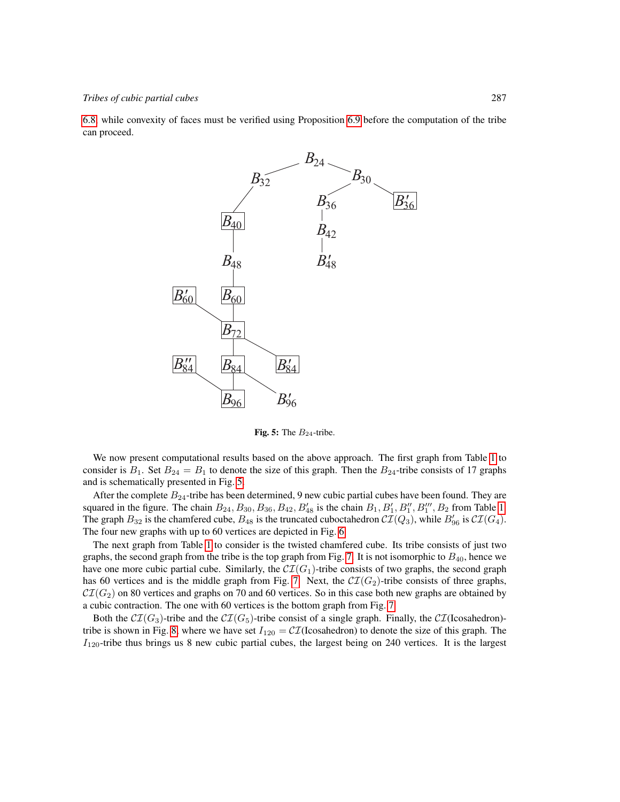[6.8,](#page-11-0) while convexity of faces must be verified using Proposition [6.9](#page-12-0) before the computation of the tribe can proceed.



<span id="page-14-0"></span>Fig. 5: The  $B_{24}$ -tribe.

We now present computational results based on the above approach. The first graph from Table [1](#page-2-0) to consider is  $B_1$ . Set  $B_{24} = B_1$  to denote the size of this graph. Then the  $B_{24}$ -tribe consists of 17 graphs and is schematically presented in Fig. [5.](#page-14-0)

After the complete  $B_{24}$ -tribe has been determined, 9 new cubic partial cubes have been found. They are squared in the figure. The chain  $B_{24}, B_{30}, B_{36}, B_{42}, B'_{48}$  is the chain  $B_1, B'_1, B''_1, B'''_1, B_2$  from Table [1.](#page-2-0) The graph  $B_{32}$  is the chamfered cube,  $B_{48}$  is the truncated cuboctahedron  $\mathcal{CI}(Q_3)$ , while  $B'_{96}$  is  $\mathcal{CI}(G_4)$ . The four new graphs with up to 60 vertices are depicted in Fig. [6.](#page-15-0)

The next graph from Table [1](#page-2-0) to consider is the twisted chamfered cube. Its tribe consists of just two graphs, the second graph from the tribe is the top graph from Fig. [7.](#page-16-1) It is not isomorphic to  $B_{40}$ , hence we have one more cubic partial cube. Similarly, the  $\mathcal{CI}(G_1)$ -tribe consists of two graphs, the second graph has 60 vertices and is the middle graph from Fig. [7.](#page-16-1) Next, the  $\mathcal{CI}(G_2)$ -tribe consists of three graphs,  $\mathcal{CI}(G_2)$  on 80 vertices and graphs on 70 and 60 vertices. So in this case both new graphs are obtained by a cubic contraction. The one with 60 vertices is the bottom graph from Fig. [7.](#page-16-1)

Both the  $\mathcal{CI}(G_3)$ -tribe and the  $\mathcal{CI}(G_5)$ -tribe consist of a single graph. Finally, the  $\mathcal{CI}(C_3)$ -tribe and the  $\mathcal{CI}(G_5)$ -tribe consist of a single graph. Finally, the  $\mathcal{CI}(C_3)$ -tribe tribe is shown in Fig. [8,](#page-16-2) where we have set  $I_{120} = \mathcal{CI}(\text{Icosahedron})$  to denote the size of this graph. The  $I_{120}$ -tribe thus brings us 8 new cubic partial cubes, the largest being on 240 vertices. It is the largest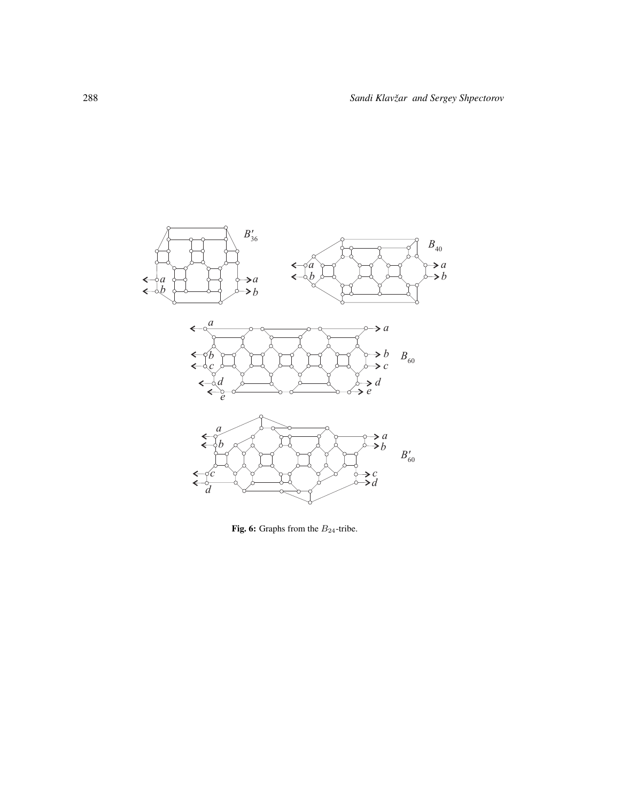

<span id="page-15-0"></span>Fig. 6: Graphs from the  $B_{24}$ -tribe.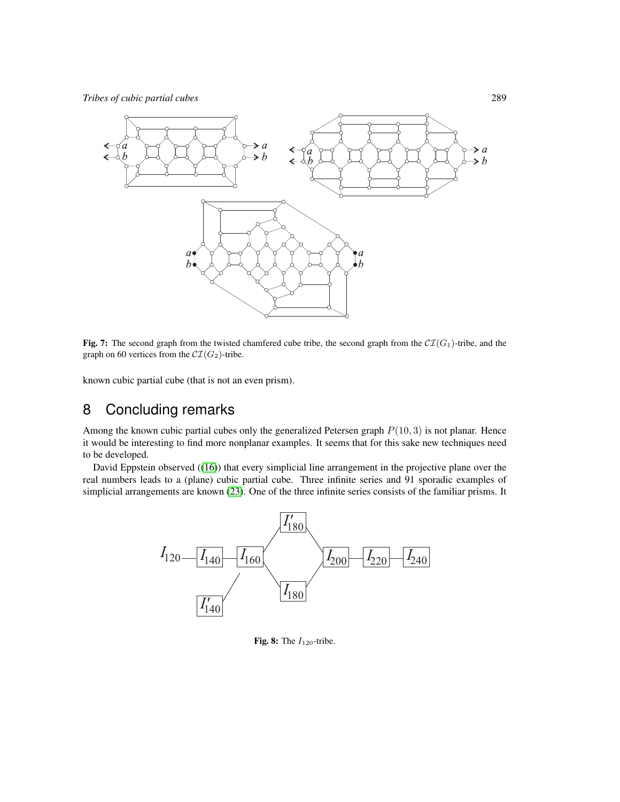

<span id="page-16-1"></span>Fig. 7: The second graph from the twisted chamfered cube tribe, the second graph from the  $\mathcal{CI}(G_1)$ -tribe, and the graph on 60 vertices from the  $\mathcal{CI}(G_2)$ -tribe.

known cubic partial cube (that is not an even prism).

# <span id="page-16-0"></span>8 Concluding remarks

Among the known cubic partial cubes only the generalized Petersen graph  $P(10, 3)$  is not planar. Hence it would be interesting to find more nonplanar examples. It seems that for this sake new techniques need to be developed.

David Eppstein observed ([\(16\)](#page-17-13)) that every simplicial line arrangement in the projective plane over the real numbers leads to a (plane) cubic partial cube. Three infinite series and 91 sporadic examples of simplicial arrangements are known [\(23\)](#page-18-18). One of the three infinite series consists of the familiar prisms. It



<span id="page-16-2"></span>Fig. 8: The  $I_{120}$ -tribe.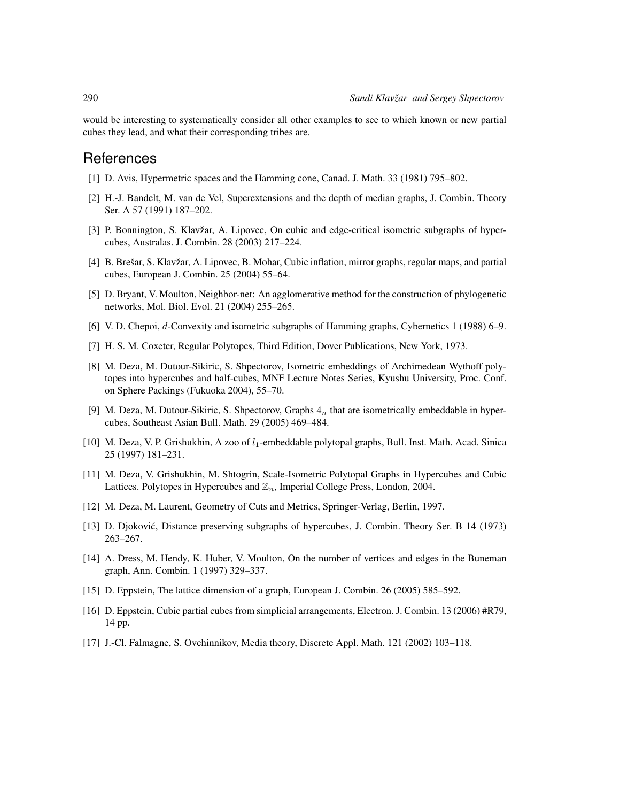would be interesting to systematically consider all other examples to see to which known or new partial cubes they lead, and what their corresponding tribes are.

#### References

- <span id="page-17-0"></span>[1] D. Avis, Hypermetric spaces and the Hamming cone, Canad. J. Math. 33 (1981) 795–802.
- <span id="page-17-8"></span>[2] H.-J. Bandelt, M. van de Vel, Superextensions and the depth of median graphs, J. Combin. Theory Ser. A 57 (1991) 187–202.
- <span id="page-17-10"></span>[3] P. Bonnington, S. Klavžar, A. Lipovec, On cubic and edge-critical isometric subgraphs of hypercubes, Australas. J. Combin. 28 (2003) 217–224.
- <span id="page-17-11"></span>[4] B. Brešar, S. Klavžar, A. Lipovec, B. Mohar, Cubic inflation, mirror graphs, regular maps, and partial cubes, European J. Combin. 25 (2004) 55–64.
- <span id="page-17-5"></span>[5] D. Bryant, V. Moulton, Neighbor-net: An agglomerative method for the construction of phylogenetic networks, Mol. Biol. Evol. 21 (2004) 255–265.
- <span id="page-17-1"></span>[6] V. D. Chepoi, d-Convexity and isometric subgraphs of Hamming graphs, Cybernetics 1 (1988) 6–9.
- <span id="page-17-15"></span>[7] H. S. M. Coxeter, Regular Polytopes, Third Edition, Dover Publications, New York, 1973.
- <span id="page-17-16"></span>[8] M. Deza, M. Dutour-Sikiric, S. Shpectorov, Isometric embeddings of Archimedean Wythoff polytopes into hypercubes and half-cubes, MNF Lecture Notes Series, Kyushu University, Proc. Conf. on Sphere Packings (Fukuoka 2004), 55–70.
- <span id="page-17-12"></span>[9] M. Deza, M. Dutour-Sikiric, S. Shpectorov, Graphs  $4<sub>n</sub>$  that are isometrically embeddable in hypercubes, Southeast Asian Bull. Math. 29 (2005) 469–484.
- <span id="page-17-14"></span>[10] M. Deza, V. P. Grishukhin, A zoo of  $l_1$ -embeddable polytopal graphs, Bull. Inst. Math. Acad. Sinica 25 (1997) 181–231.
- <span id="page-17-9"></span>[11] M. Deza, V. Grishukhin, M. Shtogrin, Scale-Isometric Polytopal Graphs in Hypercubes and Cubic Lattices. Polytopes in Hypercubes and  $\mathbb{Z}_n$ , Imperial College Press, London, 2004.
- <span id="page-17-4"></span>[12] M. Deza, M. Laurent, Geometry of Cuts and Metrics, Springer-Verlag, Berlin, 1997.
- <span id="page-17-2"></span>[13] D. Djokovic, Distance preserving subgraphs of hypercubes, J. Combin. Theory Ser. B 14 (1973) ´ 263–267.
- <span id="page-17-6"></span>[14] A. Dress, M. Hendy, K. Huber, V. Moulton, On the number of vertices and edges in the Buneman graph, Ann. Combin. 1 (1997) 329–337.
- <span id="page-17-3"></span>[15] D. Eppstein, The lattice dimension of a graph, European J. Combin. 26 (2005) 585–592.
- <span id="page-17-13"></span>[16] D. Eppstein, Cubic partial cubes from simplicial arrangements, Electron. J. Combin. 13 (2006) #R79, 14 pp.
- <span id="page-17-7"></span>[17] J.-Cl. Falmagne, S. Ovchinnikov, Media theory, Discrete Appl. Math. 121 (2002) 103–118.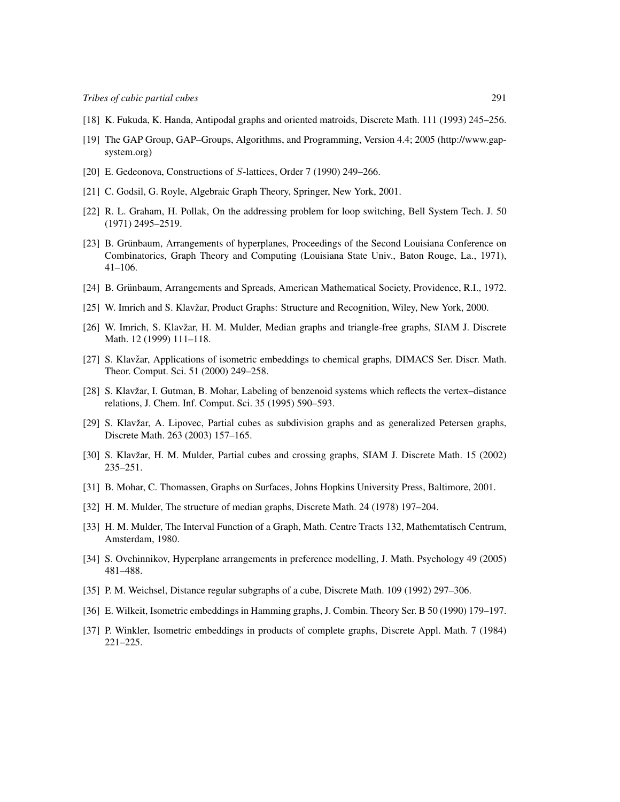- <span id="page-18-1"></span>[18] K. Fukuda, K. Handa, Antipodal graphs and oriented matroids, Discrete Math. 111 (1993) 245–256.
- <span id="page-18-13"></span>[19] The GAP Group, GAP–Groups, Algorithms, and Programming, Version 4.4; 2005 (http://www.gapsystem.org)
- <span id="page-18-14"></span>[20] E. Gedeonova, Constructions of S-lattices, Order 7 (1990) 249-266.
- <span id="page-18-16"></span>[21] C. Godsil, G. Royle, Algebraic Graph Theory, Springer, New York, 2001.
- <span id="page-18-0"></span>[22] R. L. Graham, H. Pollak, On the addressing problem for loop switching, Bell System Tech. J. 50 (1971) 2495–2519.
- <span id="page-18-18"></span>[23] B. Grünbaum, Arrangements of hyperplanes, Proceedings of the Second Louisiana Conference on Combinatorics, Graph Theory and Computing (Louisiana State Univ., Baton Rouge, La., 1971), 41–106.
- [24] B. Grünbaum, Arrangements and Spreads, American Mathematical Society, Providence, R.I., 1972.
- <span id="page-18-5"></span>[25] W. Imrich and S. Klavžar, Product Graphs: Structure and Recognition, Wiley, New York, 2000.
- <span id="page-18-10"></span>[26] W. Imrich, S. Klavžar, H. M. Mulder, Median graphs and triangle-free graphs, SIAM J. Discrete Math. 12 (1999) 111–118.
- <span id="page-18-6"></span>[27] S. Klavžar, Applications of isometric embeddings to chemical graphs, DIMACS Ser. Discr. Math. Theor. Comput. Sci. 51 (2000) 249–258.
- <span id="page-18-7"></span>[28] S. Klavžar, I. Gutman, B. Mohar, Labeling of benzenoid systems which reflects the vertex–distance relations, J. Chem. Inf. Comput. Sci. 35 (1995) 590–593.
- <span id="page-18-12"></span>[29] S. Klavžar, A. Lipovec, Partial cubes as subdivision graphs and as generalized Petersen graphs, Discrete Math. 263 (2003) 157–165.
- <span id="page-18-2"></span>[30] S. Klavžar, H. M. Mulder, Partial cubes and crossing graphs, SIAM J. Discrete Math. 15 (2002) 235–251.
- <span id="page-18-15"></span>[31] B. Mohar, C. Thomassen, Graphs on Surfaces, Johns Hopkins University Press, Baltimore, 2001.
- <span id="page-18-17"></span>[32] H. M. Mulder, The structure of median graphs, Discrete Math. 24 (1978) 197–204.
- <span id="page-18-9"></span>[33] H. M. Mulder, The Interval Function of a Graph, Math. Centre Tracts 132, Mathemtatisch Centrum, Amsterdam, 1980.
- <span id="page-18-8"></span>[34] S. Ovchinnikov, Hyperplane arrangements in preference modelling, J. Math. Psychology 49 (2005) 481–488.
- <span id="page-18-11"></span>[35] P. M. Weichsel, Distance regular subgraphs of a cube, Discrete Math. 109 (1992) 297–306.
- <span id="page-18-3"></span>[36] E. Wilkeit, Isometric embeddings in Hamming graphs, J. Combin. Theory Ser. B 50 (1990) 179–197.
- <span id="page-18-4"></span>[37] P. Winkler, Isometric embeddings in products of complete graphs, Discrete Appl. Math. 7 (1984) 221–225.